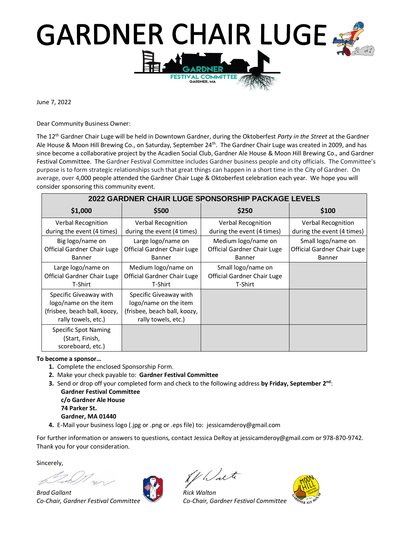## **GARDNER CHAIR LUGE. ALT TEE**

June 7, 2022

Dear Community Business Owner:

The 12 th Gardner Chair Luge will be held in Downtown Gardner, during the Oktoberfest *Party in the Street* at the Gardner Ale House & Moon Hill Brewing Co., on Saturday, September 24<sup>th</sup>. The Gardner Chair Luge was created in 2009, and has since become a collaborative project by the Acadien Social Club, Gardner Ale House & Moon Hill Brewing Co., and Gardner Festival Committee. The Gardner Festival Committee includes Gardner business people and city officials. The Committee's purpose is to form strategic relationships such that great things can happen in a short time in the City of Gardner. On average, over 4,000 people attended the Gardner Chair Luge & Oktoberfest celebration each year. We hope you will consider sponsoring this community event.

| 2022 GARDNER CHAIR LUGE SPONSORSHIP PACKAGE LEVELS                                                     |                                                                                                        |                                                                     |                                                                    |  |
|--------------------------------------------------------------------------------------------------------|--------------------------------------------------------------------------------------------------------|---------------------------------------------------------------------|--------------------------------------------------------------------|--|
| \$1,000                                                                                                | \$500                                                                                                  | \$250                                                               | \$100                                                              |  |
| <b>Verbal Recognition</b><br>during the event (4 times)                                                | <b>Verbal Recognition</b><br>during the event (4 times)                                                | <b>Verbal Recognition</b><br>during the event (4 times)             | Verbal Recognition<br>during the event (4 times)                   |  |
| Big logo/name on<br>Official Gardner Chair Luge<br><b>Banner</b>                                       | Large logo/name on<br>Official Gardner Chair Luge<br><b>Banner</b>                                     | Medium logo/name on<br>Official Gardner Chair Luge<br><b>Banner</b> | Small logo/name on<br>Official Gardner Chair Luge<br><b>Banner</b> |  |
| Large logo/name on<br>Official Gardner Chair Luge<br>T-Shirt                                           | Medium logo/name on<br>Official Gardner Chair Luge<br>T-Shirt                                          | Small logo/name on<br>Official Gardner Chair Luge<br>T-Shirt        |                                                                    |  |
| Specific Giveaway with<br>logo/name on the item<br>(frisbee, beach ball, koozy,<br>rally towels, etc.) | Specific Giveaway with<br>logo/name on the item<br>(frisbee, beach ball, koozy,<br>rally towels, etc.) |                                                                     |                                                                    |  |
| <b>Specific Spot Naming</b><br>(Start, Finish,<br>scoreboard, etc.)                                    |                                                                                                        |                                                                     |                                                                    |  |

#### **To become a sponsor…**

- **1.** Complete the enclosed Sponsorship Form.
- **2.** Make your check payable to: **Gardner Festival Committee**
- **3.** Send or drop off your completed form and check to the following address by Friday, September 2<sup>nd</sup>:

**Gardner Festival Committee c/o Gardner Ale House 74 Parker St. Gardner, MA 01440**

**4.** E-Mail your business logo (.jpg or .png or .eps file) to: jessicamderoy@gmail.com

For further information or answers to questions, contact Jessica DeRoy at jessicamderoy@gmail.com or 978-870-9742. Thank you for your consideration.

Sincerely,

*Brad Gallant Rick Walton Co-Chair, Gardner Festival Committee Co-Chair, Gardner Festival Committee*

Al Walte

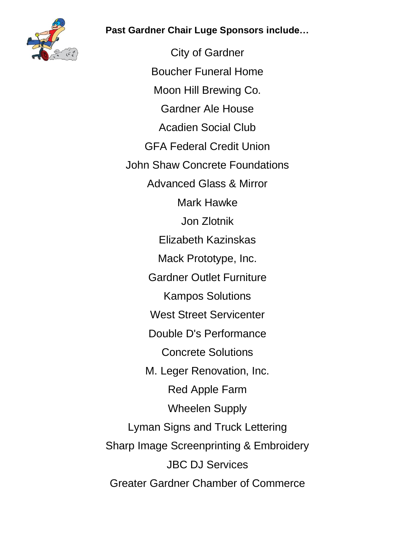**Past Gardner Chair Luge Sponsors include…**



City of Gardner Boucher Funeral Home Moon Hill Brewing Co. Gardner Ale House Acadien Social Club GFA Federal Credit Union John Shaw Concrete Foundations Advanced Glass & Mirror Mark Hawke Jon Zlotnik Elizabeth Kazinskas Mack Prototype, Inc. Gardner Outlet Furniture Kampos Solutions West Street Servicenter Double D's Performance Concrete Solutions M. Leger Renovation, Inc. Red Apple Farm Wheelen Supply Lyman Signs and Truck Lettering Sharp Image Screenprinting & Embroidery JBC DJ Services Greater Gardner Chamber of Commerce